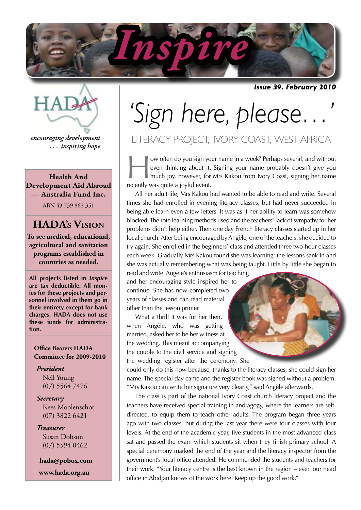

*Issue 39. February 2010*



*encouraging development . . . inspiring hope*

**Health And Development Aid Abroad — Australia Fund Inc.**

ABN 43 739 862 351

#### **HADA's Vision**

**To see medical, educational, agricultural and sanitation programs established in countries as needed.**

**All projects listed in** *Inspire* **are tax deductible. All monies for these projects and personnel involved in them go in their entirety except for bank charges. HADA does not use these funds for administration.**

#### **Office Bearers HADA Committee for 2009-2010**

*President* Neil Young (07) 5564 7476

*Secretary* Kees Moolenschot (07) 3822 6421

*Treasurer* Susan Dobson (07) 5594 0462

 **hada@pobox.com www.hada.org.au**

# *'Sign here, please…'*

### LITERACY PROJECT, IVORY COAST, WEST AFRICA

w often do you sign your name in a week? Perhaps several, and without even thinking about it. Signing your name probably doesn't give you much joy, however, for Mrs Kakou from Ivory Coast, signing her name recently wes qui even thinking about it. Signing your name probably doesn't give you much joy, however, for Mrs Kakou from Ivory Coast, signing her name recently was quite a joyful event.

All her adult life, Mrs Kakou had wanted to be able to read and write. Several times she had enrolled in evening literacy classes, but had never succeeded in being able learn even a few letters. It was as if her ability to learn was somehow blocked. The rote learning methods used and the teachers' lack of sympathy for her problems didn't help either. Then one day French literacy classes started up in her local church. After being encouraged by Angèle, one of the teachers, she decided to try again. She enrolled in the beginners' class and attended three two-hour classes each week. Gradually Mrs Kakou found she was learning: the lessons sank in and she was actually remembering what was being taught. Little by little she began to

read and write. Angèle's enthusiasm for teaching and her encouraging style inspired her to continue. She has now completed two years of classes and can read material other than the lesson primer.

What a thrill it was for her then. when Angèle, who was getting married, asked her to be her witness at the wedding. This meant accompanying the couple to the civil service and signing the wedding register after the ceremony. She

could only do this now because, thanks to the literacy classes, she could sign her name. The special day came and the register book was signed without a problem. "Mrs Kakou can write her signature very clearly," said Angèle afterwards.

The class is part of the national Ivory Coast church literacy project and the teachers have received special training in andragogy, where the learners are selfdirected, to equip them to teach other adults. The program began three years ago with two classes, but during the last year there were four classes with four levels. At the end of the academic year, five students in the most advanced class sat and passed the exam which students sit when they finish primary school. A special ceremony marked the end of the year and the literacy inspector from the government's local office attended. He commended the students and teachers for their work. "Your literacy centre is the best known in the region – even our head office in Abidjan knows of the work here. Keep up the good work."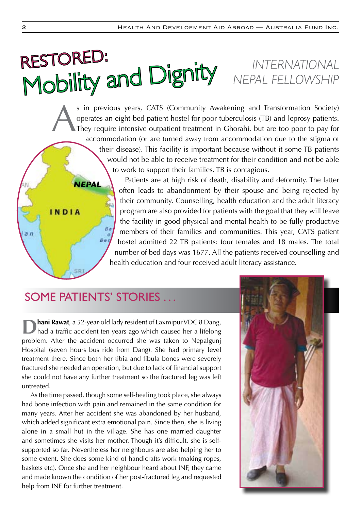## RESTORED: **RESTUNCE:**<br>Mobility and Dignity MEPAL FELLOWSHIP *NEPAL FELLOWSHIP*

s in previous years, CATS (Community Awakening and Transformation Society)<br>operates an eight-bed patient hostel for poor tuberculosis (TB) and leprosy patients.<br>They require intensive outpatient treatment in Ghorahi, but a operates an eight-bed patient hostel for poor tuberculosis (TB) and leprosy patients. They require intensive outpatient treatment in Ghorahi, but are too poor to pay for accommodation (or are turned away from accommodation due to the stigma of their disease). This facility is important because without it some TB patients would not be able to receive treatment for their condition and not be able to work to support their families. TB is contagious.

> Patients are at high risk of death, disability and deformity. The latter often leads to abandonment by their spouse and being rejected by their community. Counselling, health education and the adult literacy program are also provided for patients with the goal that they will leave the facility in good physical and mental health to be fully productive members of their families and communities. This year, CATS patient hostel admitted 22 TB patients: four females and 18 males. The total number of bed days was 1677. All the patients received counselling and health education and four received adult literacy assistance.

## SOME PATIENTS' STORIES ...

Be.

*NEPAL*

INDIA

 $a<sub>n</sub>$ 

**Dhani Rawat**, a 52-year-old lady resident of Laxmipur VDC 8 Dang, had a traffic accident ten years ago which caused her a lifelong problem. After the accident occurred she was taken to Nepalgunj Hospital (seven hours bus ride from Dang). She had primary level treatment there. Since both her tibia and fibula bones were severely fractured she needed an operation, but due to lack of financial support she could not have any further treatment so the fractured leg was left untreated.

As the time passed, though some self-healing took place, she always had bone infection with pain and remained in the same condition for many years. After her accident she was abandoned by her husband, which added significant extra emotional pain. Since then, she is living alone in a small hut in the village. She has one married daughter and sometimes she visits her mother. Though it's difficult, she is selfsupported so far. Nevertheless her neighbours are also helping her to some extent. She does some kind of handicrafts work (making ropes, baskets etc). Once she and her neighbour heard about INF, they came and made known the condition of her post-fractured leg and requested help from INF for further treatment.

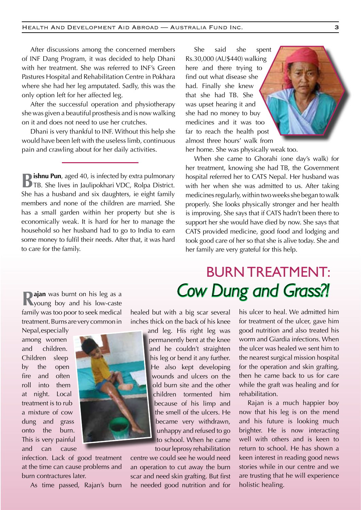After discussions among the concerned members of INF Dang Program, it was decided to help Dhani with her treatment. She was referred to INF's Green Pastures Hospital and Rehabilitation Centre in Pokhara where she had her leg amputated. Sadly, this was the only option left for her affected leg.

After the successful operation and physiotherapy she was given a beautiful prosthesis and is now walking on it and does not need to use her crutches.

Dhani is very thankful to INF. Without this help she would have been left with the useless limb, continuous pain and crawling about for her daily activities.

**Bishnu Pun**, aged 40, is infected by extra pulmonary TB. She lives in Jaulipokhari VDC, Rolpa District. She has a husband and six daughters, ie eight family members and none of the children are married. She has a small garden within her property but she is economically weak. It is hard for her to manage the household so her husband had to go to India to earn some money to fulfil their needs. After that, it was hard to care for the family.

She said she spent Rs.30,000 (AU\$440) walking here and there trying to find out what disease she had. Finally she knew that she had TB. She was upset hearing it and she had no money to buy medicines and it was too far to reach the health post almost three hours' walk from

her home. She was physically weak too.

When she came to Ghorahi (one day's walk) for her treatment, knowing she had TB, the Government hospital referred her to CATS Nepal. Her husband was with her when she was admitted to us. After taking medicines regularly, within two weeks she began to walk properly. She looks physically stronger and her health is improving. She says that if CATS hadn't been there to support her she would have died by now. She says that CATS provided medicine, good food and lodging and took good care of her so that she is alive today. She and her family are very grateful for this help.

**Rajan** was burnt on his leg as a sympath of the sequence of  $\mathbb{R}$  is low-caste family was too poor to seek medical treatment. Burns are very common in

Nepal, especially among women and children. Children sleep by the open fire and often roll into them at night. Local treatment is to rub a mixture of cow dung and grass onto the burn. This is very painful and can cause



As time passed, Rajan's burn



and leg. His right leg was permanently bent at the knee and he couldn't straighten his leg or bend it any further. He also kept developing wounds and ulcers on the old burn site and the other children tormented him because of his limp and the smell of the ulcers. He became very withdrawn, unhappy and refused to go to school. When he came to our leprosy rehabilitation

centre we could see he would need an operation to cut away the burn scar and need skin grafting. But first he needed good nutrition and for

BURN TREATMENT: *Cow Dung and Grass?!*

> his ulcer to heal. We admitted him for treatment of the ulcer, gave him good nutrition and also treated his worm and Giardia infections. When the ulcer was healed we sent him to the nearest surgical mission hospital for the operation and skin grafting, then he came back to us for care while the graft was healing and for rehabilitation.

> Rajan is a much happier boy now that his leg is on the mend and his future is looking much brighter. He is now interacting well with others and is keen to return to school. He has shown a keen interest in reading good news stories while in our centre and we are trusting that he will experience holistic healing.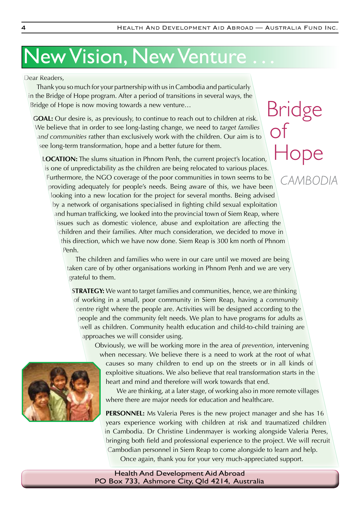Bridge

of

## New Vision, New Venture . . .

Dear Readers,

Thank you so much for your partnership with us in Cambodia and particularly in the Bridge of Hope program. After a period of transitions in several ways, the Bridge of Hope is now moving towards a new venture…

**GOAL:** Our desire is, as previously, to continue to reach out to children at risk. We believe that in order to see long-lasting change, we need to *target families and communities* rather than exclusively work with the children. Our aim is to see long-term transformation, hope and a better future for them.

**LOCATION:** The slums situation in Phnom Penh, the current project's location, is one of unpredictability as the children are being relocated to various places. Furthermore, the NGO coverage of the poor communities in town seems to be providing adequately for people's needs. Being aware of this, we have been looking into a new location for the project for several months. Being advised by a network of organisations specialised in fighting child sexual exploitation and human trafficking, we looked into the provincial town of Siem Reap, where issues such as domestic violence, abuse and exploitation are affecting the children and their families. After much consideration, we decided to move in this direction, which we have now done. Siem Reap is 300 km north of Phnom Penh. Hope  *CAMBODIA*

The children and families who were in our care until we moved are being taken care of by other organisations working in Phnom Penh and we are very grateful to them.

**STRATEGY:** We want to target families and communities, hence, we are thinking of working in a small, poor community in Siem Reap, having a *community centre* right where the people are. Activities will be designed according to the people and the community felt needs. We plan to have programs for adults as well as children. Community health education and child-to-child training are approaches we will consider using.

Obviously, we will be working more in the area of *prevention*, intervening when necessary. We believe there is a need to work at the root of what

causes so many children to end up on the streets or in all kinds of exploitive situations. We also believe that real transformation starts in the heart and mind and therefore will work towards that end.

We are thinking, at a later stage, of working also in more remote villages where there are major needs for education and healthcare.

**PERSONNEL:** Ms Valeria Peres is the new project manager and she has 16 years experience working with children at risk and traumatized children in Cambodia. Dr Christine Lindenmayer is working alongside Valeria Peres, bringing both field and professional experience to the project. We will recruit Cambodian personnel in Siem Reap to come alongside to learn and help. Once again, thank you for your very much-appreciated support.

Health And Development Aid Abroad PO Box 733, Ashmore City, Qld 4214, Australia

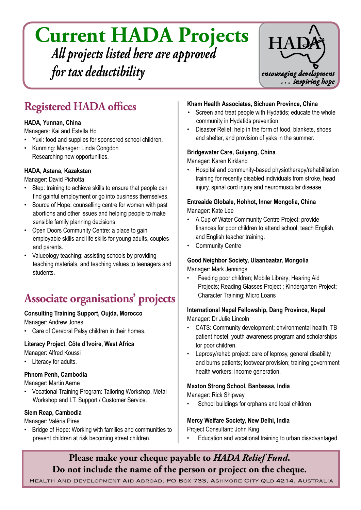## **Current HADA Projects** *All projects listed here are approved for tax deductibility*



## **Registered HADA offices**

#### **HADA, Yunnan, China**

Managers: Kai and Estella Ho

- Yuxi: food and supplies for sponsored school children.
- Kunming: Manager: Linda Congdon Researching new opportunities.

#### **HADA, Astana, Kazakstan**

Manager: David Pichotta

- Step: training to achieve skills to ensure that people can find gainful employment or go into business themselves.
- Source of Hope: counselling centre for women with past abortions and other issues and helping people to make sensible family planning decisions.
- Open Doors Community Centre: a place to gain employable skills and life skills for young adults, couples and parents.
- Valueology teaching: assisting schools by providing teaching materials, and teaching values to teenagers and students.

## **Associate organisations' projects**

#### **Consulting Training Support, Oujda, Morocco**

Manager: Andrew Jones

• Care of Cerebral Palsy children in their homes.

#### **Literacy Project, Côte d'lvoire, West Africa**

Manager: Alfred Koussi

• Literacy for adults.

#### **Phnom Penh, Cambodia**

Manager: Martin Aerne

• Vocational Training Program: Tailoring Workshop, Metal Workshop and I.T. Support / Customer Service.

#### **Siem Reap, Cambodia**

Manager: Valéria Pires

• Bridge of Hope: Working with families and communities to prevent children at risk becoming street children.

#### **Kham Health Associates, Sichuan Province, China**

- Screen and treat people with Hydatids; educate the whole community in Hydatids prevention.
- Disaster Relief: help in the form of food, blankets, shoes and shelter, and provision of yaks in the summer.

#### **Bridgewater Care, Guiyang, China**

Manager: Karen Kirkland

Hospital and community-based physiotherapy/rehabilitation training for recently disabled individuals from stroke, head injury, spinal cord injury and neuromuscular disease.

#### **Entreaide Globale, Hohhot, Inner Mongolia, China** Manager: Kate Lee

- A Cup of Water Community Centre Project: provide finances for poor children to attend school; teach English, and English teacher training.
- Community Centre

## **Good Neighbor Society, Ulaanbaatar, Mongolia**

Manager: Mark Jennings

Feeding poor children; Mobile Library; Hearing Aid Projects; Reading Glasses Project ; Kindergarten Project; Character Training; Micro Loans

#### **International Nepal Fellowship, Dang Province, Nepal**

Manager: Dr Julie Lincoln

- CATS: Community development; environmental health; TB patient hostel; youth awareness program and scholarships for poor children.
- Leprosy/rehab project: care of leprosy, general disability and burns patients; footwear provision; training government health workers; income generation.

#### **Maxton Strong School, Banbassa, India**

Manager: Rick Shipway

School buildings for orphans and local children

**Mercy Welfare Society, New Delhi, India** Project Consultant: John King

Education and vocational training to urban disadvantaged.

#### **Please make your cheque payable to** *HADA Relief Fund***. Do not include the name of the person or project on the cheque.**

Health And Development Aid Abroad, PO Box 733, Ashmore City Qld 4214, Australia